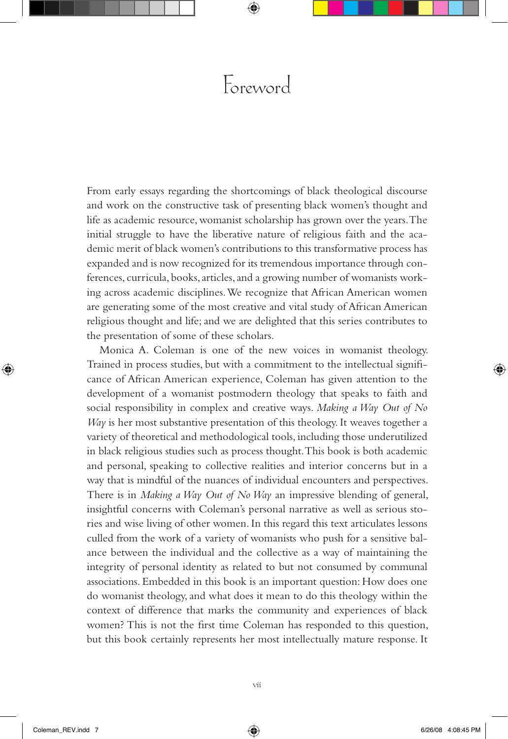## Foreword

From early essays regarding the shortcomings of black theological discourse and work on the constructive task of presenting black women's thought and life as academic resource, womanist scholarship has grown over the years. The initial struggle to have the liberative nature of religious faith and the academic merit of black women's contributions to this transformative process has expanded and is now recognized for its tremendous importance through conferences, curricula, books, articles, and a growing number of womanists working across academic disciplines. We recognize that African American women are generating some of the most creative and vital study of African American religious thought and life; and we are delighted that this series contributes to the presentation of some of these scholars.

Monica A. Coleman is one of the new voices in womanist theology. Trained in process studies, but with a commitment to the intellectual significance of African American experience, Coleman has given attention to the development of a womanist postmodern theology that speaks to faith and social responsibility in complex and creative ways. *Making a Way Out of No Way* is her most substantive presentation of this theology. It weaves together a variety of theoretical and methodological tools, including those underutilized in black religious studies such as process thought. This book is both academic and personal, speaking to collective realities and interior concerns but in a way that is mindful of the nuances of individual encounters and perspectives. There is in *Making a Way Out of No Way* an impressive blending of general, insightful concerns with Coleman's personal narrative as well as serious stories and wise living of other women. In this regard this text articulates lessons culled from the work of a variety of womanists who push for a sensitive balance between the individual and the collective as a way of maintaining the integrity of personal identity as related to but not consumed by communal associations. Embedded in this book is an important question: How does one do womanist theology, and what does it mean to do this theology within the context of difference that marks the community and experiences of black women? This is not the first time Coleman has responded to this question, but this book certainly represents her most intellectually mature response. It